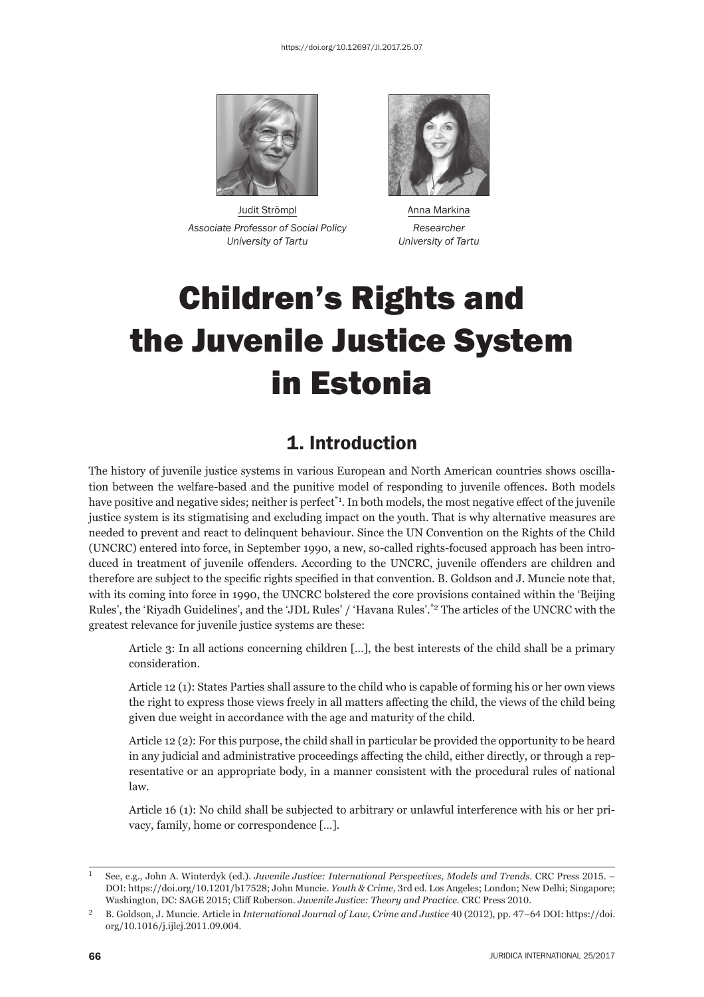

Judit Strömpl **Anna Markina** *Associate Professor of Social Policy Researcher University of Tartu University of Tartu*



# Children's Rights and the Juvenile Justice System in Estonia

## 1. Introduction

The history of juvenile justice systems in various European and North American countries shows oscillation between the welfare-based and the punitive model of responding to juvenile offences. Both models have positive and negative sides; neither is perfect<sup>\*1</sup>. In both models, the most negative effect of the juvenile justice system is its stigmatising and excluding impact on the youth. That is why alternative measures are needed to prevent and react to delinquent behaviour. Since the UN Convention on the Rights of the Child (UNCRC) entered into force, in September 1990, a new, so-called rights-focused approach has been introduced in treatment of juvenile offenders. According to the UNCRC, juvenile offenders are children and therefore are subject to the specific rights specified in that convention. B. Goldson and J. Muncie note that, with its coming into force in 1990, the UNCRC bolstered the core provisions contained within the 'Beijing Rules', the 'Riyadh Guidelines', and the 'JDL Rules' / 'Havana Rules'.\*2 The articles of the UNCRC with the greatest relevance for juvenile justice systems are these:

Article 3: In all actions concerning children […], the best interests of the child shall be a primary consideration.

Article 12 (1): States Parties shall assure to the child who is capable of forming his or her own views the right to express those views freely in all matters affecting the child, the views of the child being given due weight in accordance with the age and maturity of the child.

Article 12 (2): For this purpose, the child shall in particular be provided the opportunity to be heard in any judicial and administrative proceedings affecting the child, either directly, or through a representative or an appropriate body, in a manner consistent with the procedural rules of national law.

Article 16 (1): No child shall be subjected to arbitrary or unlawful interference with his or her privacy, family, home or correspondence […].

See, e.g., John A. Winterdyk (ed.). *Juvenile Justice: International Perspectives, Models and Trends*. CRC Press 2015. – DOI: https://doi.org/10.1201/b17528; John Muncie. *Youth & Crime*, 3rd ed. Los Angeles; London; New Delhi; Singapore; Washington, DC: SAGE 2015; Cliff Roberson. *Juvenile Justice: Theory and Practice*. CRC Press 2010.

<sup>&</sup>lt;sup>2</sup> B. Goldson, J. Muncie. Article in *International Journal of Law, Crime and Justice* 40 (2012), pp. 47–64 DOI: https://doi. org/10.1016/j.ijlcj.2011.09.004.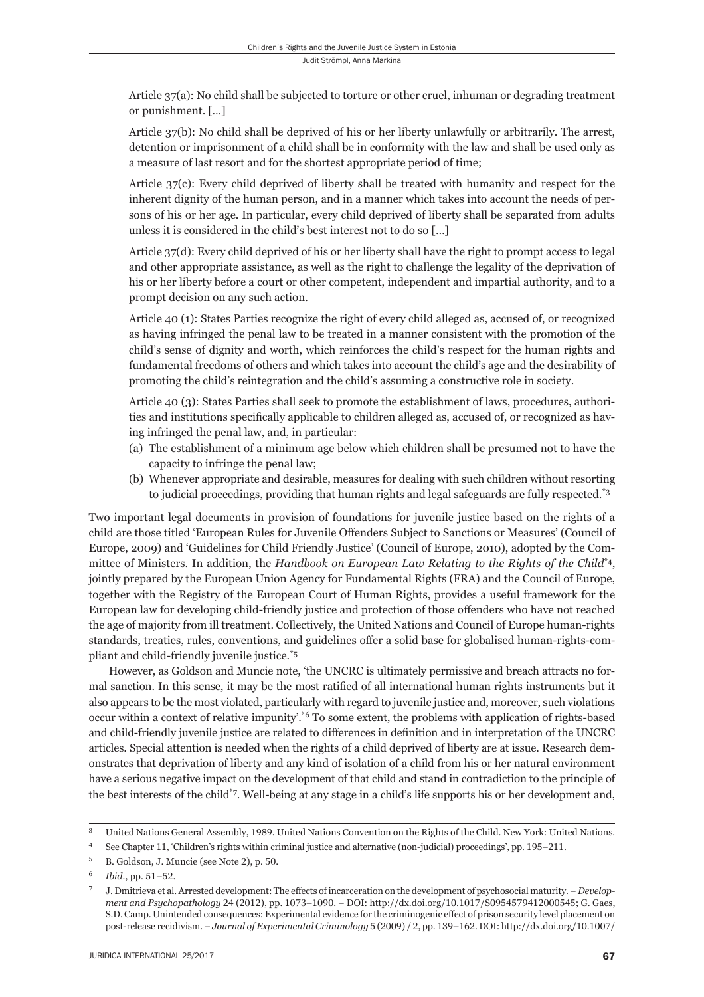Article 37(a): No child shall be subjected to torture or other cruel, inhuman or degrading treatment or punishment. […]

Article 37(b): No child shall be deprived of his or her liberty unlawfully or arbitrarily. The arrest, detention or imprisonment of a child shall be in conformity with the law and shall be used only as a measure of last resort and for the shortest appropriate period of time;

Article 37(c): Every child deprived of liberty shall be treated with humanity and respect for the inherent dignity of the human person, and in a manner which takes into account the needs of persons of his or her age. In particular, every child deprived of liberty shall be separated from adults unless it is considered in the child's best interest not to do so […]

Article 37(d): Every child deprived of his or her liberty shall have the right to prompt access to legal and other appropriate assistance, as well as the right to challenge the legality of the deprivation of his or her liberty before a court or other competent, independent and impartial authority, and to a prompt decision on any such action.

Article 40 (1): States Parties recognize the right of every child alleged as, accused of, or recognized as having infringed the penal law to be treated in a manner consistent with the promotion of the child's sense of dignity and worth, which reinforces the child's respect for the human rights and fundamental freedoms of others and which takes into account the child's age and the desirability of promoting the child's reintegration and the child's assuming a constructive role in society.

Article 40 (3): States Parties shall seek to promote the establishment of laws, procedures, authorities and institutions specifically applicable to children alleged as, accused of, or recognized as having infringed the penal law, and, in particular:

- (a) The establishment of a minimum age below which children shall be presumed not to have the capacity to infringe the penal law;
- (b) Whenever appropriate and desirable, measures for dealing with such children without resorting to judicial proceedings, providing that human rights and legal safeguards are fully respected.<sup>\*3</sup>

Two important legal documents in provision of foundations for juvenile justice based on the rights of a child are those titled 'European Rules for Juvenile Offenders Subject to Sanctions or Measures' (Council of Europe, 2009) and 'Guidelines for Child Friendly Justice' (Council of Europe, 2010), adopted by the Committee of Ministers. In addition, the *Handbook on European Law Relating to the Rights of the Child*\*4, jointly prepared by the European Union Agency for Fundamental Rights (FRA) and the Council of Europe, together with the Registry of the European Court of Human Rights, provides a useful framework for the European law for developing child-friendly justice and protection of those offenders who have not reached the age of majority from ill treatment. Collectively, the United Nations and Council of Europe human-rights standards, treaties, rules, conventions, and guidelines offer a solid base for globalised human-rights-compliant and child-friendly juvenile justice.\*5

However, as Goldson and Muncie note, 'the UNCRC is ultimately permissive and breach attracts no formal sanction. In this sense, it may be the most ratified of all international human rights instruments but it also appears to be the most violated, particularly with regard to juvenile justice and, moreover, such violations occur within a context of relative impunity'.\*6 To some extent, the problems with application of rights-based and child-friendly juvenile justice are related to differences in definition and in interpretation of the UNCRC articles. Special attention is needed when the rights of a child deprived of liberty are at issue. Research demonstrates that deprivation of liberty and any kind of isolation of a child from his or her natural environment have a serious negative impact on the development of that child and stand in contradiction to the principle of the best interests of the child\*7. Well-being at any stage in a child's life supports his or her development and,

<sup>&</sup>lt;sup>3</sup> United Nations General Assembly, 1989. United Nations Convention on the Rights of the Child. New York: United Nations.

<sup>&</sup>lt;sup>4</sup> See Chapter 11, 'Children's rights within criminal justice and alternative (non-judicial) proceedings', pp. 195–211.

<sup>&</sup>lt;sup>5</sup> B. Goldson, J. Muncie (see Note 2), p. 50.

<sup>&</sup>lt;sup>6</sup> *Ibid.*, pp. 51-52.

J. Dmitrieva et al. Arrested development: The effects of incarceration on the development of psychosocial maturity. - *Development and Psychopathology* 24 (2012), pp. 1073-1090. - DOI: http://dx.doi.org/10.1017/S0954579412000545; G. Gaes, S.D. Camp. Unintended consequences: Experimental evidence for the criminogenic effect of prison security level placement on post-release recidivism. - *Journal of Experimental Criminology* 5 (2009) / 2, pp. 139-162. DOI: http://dx.doi.org/10.1007/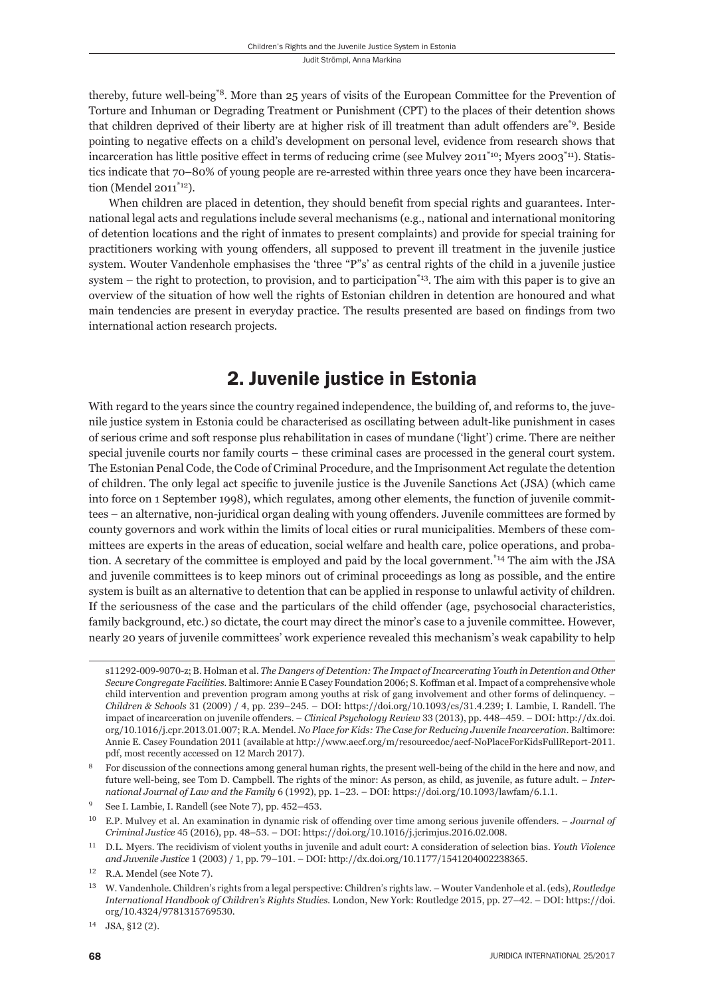thereby, future well-being\*8. More than 25 years of visits of the European Committee for the Prevention of Torture and Inhuman or Degrading Treatment or Punishment (CPT) to the places of their detention shows that children deprived of their liberty are at higher risk of ill treatment than adult offenders are<sup>\*9</sup>. Beside pointing to negative effects on a child's development on personal level, evidence from research shows that incarceration has little positive effect in terms of reducing crime (see Mulvey 2011<sup>\*10</sup>; Myers 2003<sup>\*11</sup>). Statistics indicate that 70–80% of young people are re-arrested within three years once they have been incarceration (Mendel 2011\*12).

When children are placed in detention, they should benefit from special rights and guarantees. International legal acts and regulations include several mechanisms (e.g., national and international monitoring of detention locations and the right of inmates to present complaints) and provide for special training for practitioners working with young offenders, all supposed to prevent ill treatment in the juvenile justice system. Wouter Vandenhole emphasises the 'three "P"s' as central rights of the child in a juvenile justice system – the right to protection, to provision, and to participation $*_{13}$ . The aim with this paper is to give an overview of the situation of how well the rights of Estonian children in detention are honoured and what main tendencies are present in everyday practice. The results presented are based on findings from two international action research projects.

### 2. Juvenile justice in Estonia

With regard to the years since the country regained independence, the building of, and reforms to, the juvenile justice system in Estonia could be characterised as oscillating between adult-like punishment in cases of serious crime and soft response plus rehabilitation in cases of mundane ('light') crime. There are neither special juvenile courts nor family courts – these criminal cases are processed in the general court system. The Estonian Penal Code, the Code of Criminal Procedure, and the Imprisonment Act regulate the detention of children. The only legal act specific to juvenile justice is the Juvenile Sanctions Act (JSA) (which came into force on 1 September 1998), which regulates, among other elements, the function of juvenile committees – an alternative, non-juridical organ dealing with young offenders. Juvenile committees are formed by county governors and work within the limits of local cities or rural municipalities. Members of these committees are experts in the areas of education, social welfare and health care, police operations, and probation. A secretary of the committee is employed and paid by the local government.\*14 The aim with the JSA and juvenile committees is to keep minors out of criminal proceedings as long as possible, and the entire system is built as an alternative to detention that can be applied in response to unlawful activity of children. If the seriousness of the case and the particulars of the child offender (age, psychosocial characteristics, family background, etc.) so dictate, the court may direct the minor's case to a juvenile committee. However, nearly 20 years of juvenile committees' work experience revealed this mechanism's weak capability to help

s11292-009-9070-z; B. Holman et al. *The Dangers of Detention: The Impact of Incarcerating Youth in Detention and Other Secure Congregate Facilities.* Baltimore: Annie E Casey Foundation 2006; S. Koffman et al. Impact of a comprehensive whole child intervention and prevention program among youths at risk of gang involvement and other forms of delinquency. – *Children & Schools* 31 (2009) / 4, pp. 239–245. – DOI: https://doi.org/10.1093/cs/31.4.239; I. Lambie, I. Randell. The impact of incarceration on juvenile offenders. – *Clinical Psychology Review* 33 (2013), pp. 448–459. – DOI: http://dx.doi. org/ɲɱ.ɲɱɲɷ/j.cpr.ɳɱɲɴ.ɱɲ.ɱɱɸ; R.A. Mendel. *No Place for Kids: The Case for Reducing Juvenile Incarceration.* Baltimore: Annie E. Casey Foundation 2011 (available at http://www.aecf.org/m/resourcedoc/aecf-NoPlaceForKidsFullReport-2011. pdf, most recently accessed on 12 March 2017).

For discussion of the connections among general human rights, the present well-being of the child in the here and now, and future well-being, see Tom D. Campbell. The rights of the minor: As person, as child, as juvenile, as future adult. – *International Journal of Law and the Family* 6 (1992), pp. 1–23. – DOI: https://doi.org/10.1093/lawfam/6.1.1.

See I. Lambie, I. Randell (see Note 7), pp. 452-453.

<sup>&</sup>lt;sup>10</sup> E.P. Mulvey et al. An examination in dynamic risk of offending over time among serious juvenile offenders. – *Journal of Criminal Justice* 45 (2016), pp. 48-53. – DOI: https://doi.org/10.1016/j.jcrimjus.2016.02.008.

ɲɲ D.L. Myers. The recidivism of violent youths in juvenile and adult court: A consideration of selection bias. *Youth Violence and Juvenile Justice* 1 (2003) / 1, pp. 79-101. – DOI: http://dx.doi.org/10.1177/1541204002238365.

 $12$  R.A. Mendel (see Note 7).

ɲɴ W. Vandenhole. Children's rights from a legal perspective: Children's rights law. – Wouter Vandenhole et al. (eds), *Routledge International Handbook of Children's Rights Studies. London, New York: Routledge 2015, pp. 27-42. – DOI: https://doi.* org/10.4324/9781315769530.

 $14$  JSA, §12 (2).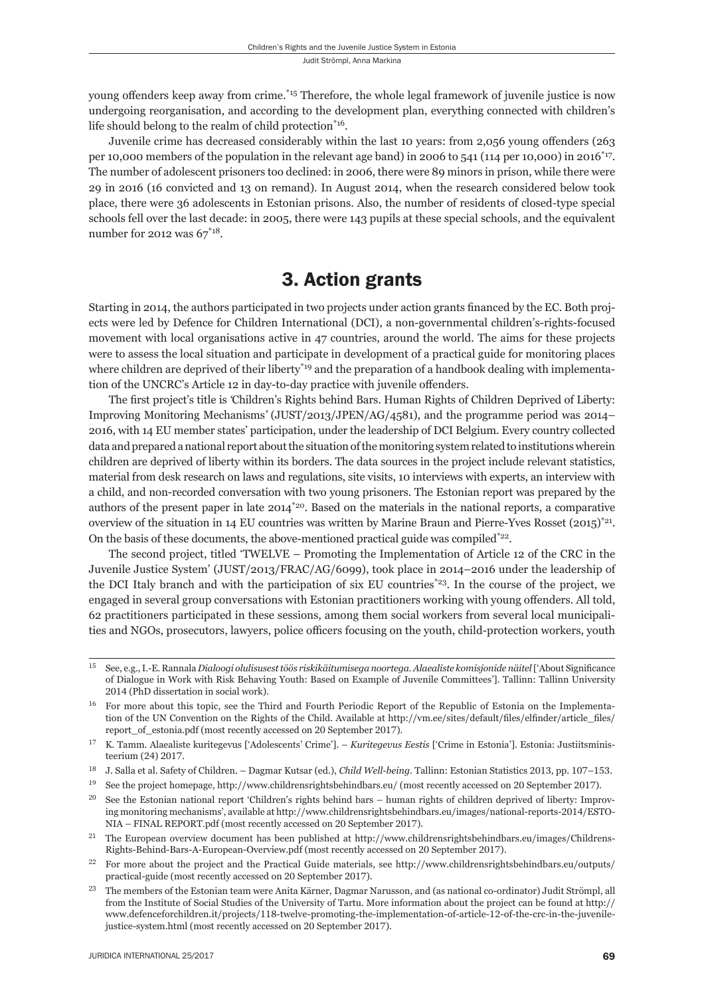young offenders keep away from crime.<sup>\*15</sup> Therefore, the whole legal framework of juvenile justice is now undergoing reorganisation, and according to the development plan, everything connected with children's life should belong to the realm of child protection\*16.

Juvenile crime has decreased considerably within the last 10 years: from 2,056 young offenders (263) per 10,000 members of the population in the relevant age band) in 2006 to 541 (114 per 10,000) in 2016\*17. The number of adolescent prisoners too declined: in 2006, there were 89 minors in prison, while there were 29 in 2016 (16 convicted and 13 on remand). In August 2014, when the research considered below took place, there were 36 adolescents in Estonian prisons. Also, the number of residents of closed-type special schools fell over the last decade: in 2005, there were 143 pupils at these special schools, and the equivalent number for 2012 was  $67^{\text{*}}18$ .

#### 3. Action grants

Starting in 2014, the authors participated in two projects under action grants financed by the EC. Both projects were led by Defence for Children International (DCI), a non-governmental children's-rights-focused movement with local organisations active in 47 countries, around the world. The aims for these projects were to assess the local situation and participate in development of a practical guide for monitoring places where children are deprived of their liberty<sup>\*19</sup> and the preparation of a handbook dealing with implementation of the UNCRC's Article 12 in day-to-day practice with juvenile offenders.

The first project's title is 'Children's Rights behind Bars. Human Rights of Children Deprived of Liberty: Improving Monitoring Mechanisms*'* (JUST/2013/JPEN/AG/4581), and the programme period was 2014– 2016, with 14 EU member states' participation, under the leadership of DCI Belgium. Every country collected data and prepared a national report about the situation of the monitoring system related to institutions wherein children are deprived of liberty within its borders. The data sources in the project include relevant statistics, material from desk research on laws and regulations, site visits, 10 interviews with experts, an interview with a child, and non-recorded conversation with two young prisoners. The Estonian report was prepared by the authors of the present paper in late 2014\*20. Based on the materials in the national reports, a comparative overview of the situation in 14 EU countries was written by Marine Braun and Pierre-Yves Rosset  $(2015)^{221}$ . On the basis of these documents, the above-mentioned practical guide was compiled<sup>\*22</sup>.

The second project, titled 'TWELVE – Promoting the Implementation of Article 12 of the CRC in the Juvenile Justice System' (JUST/2013/FRAC/AG/6099), took place in 2014–2016 under the leadership of the DCI Italy branch and with the participation of six EU countries\*23. In the course of the project, we engaged in several group conversations with Estonian practitioners working with young offenders. All told, 62 practitioners participated in these sessions, among them social workers from several local municipalities and NGOs, prosecutors, lawyers, police officers focusing on the youth, child-protection workers, youth

<sup>&</sup>lt;sup>15</sup> See, e.g., I.-E. Rannala *Dialoogi olulisusest töös riskikäitumisega noortega. Alaealiste komisjonide näitel ['About Significance* of Dialogue in Work with Risk Behaving Youth: Based on Example of Juvenile Committees']. Tallinn: Tallinn University 2014 (PhD dissertation in social work).

<sup>&</sup>lt;sup>16</sup> For more about this topic, see the Third and Fourth Periodic Report of the Republic of Estonia on the Implementation of the UN Convention on the Rights of the Child. Available at http://vm.ee/sites/default/files/elfinder/article\_files/ report\_of\_estonia.pdf (most recently accessed on 20 September 2017).

ɲɸ K. Tamm. Alaealiste kuritegevus ['Adolescents' Crime']. – *Kuritegevus Eestis* ['Crime in Estonia']. Estonia: Justiitsministeerium (24) 2017.

<sup>&</sup>lt;sup>18</sup> J. Salla et al. Safety of Children. – Dagmar Kutsar (ed.), *Child Well-being*. Tallinn: Estonian Statistics 2013, pp. 107–153.

See the project homepage, http://www.childrensrightsbehindbars.eu/ (most recently accessed on 20 September 2017).

<sup>&</sup>lt;sup>20</sup> See the Estonian national report 'Children's rights behind bars – human rights of children deprived of liberty: Improving monitoring mechanisms', available at http://www.childrensrightsbehindbars.eu/images/national-reports-2014/ESTO-NIA – FINAL REPORT.pdf (most recently accessed on 20 September 2017).

<sup>&</sup>lt;sup>21</sup> The European overview document has been published at http://www.childrensrightsbehindbars.eu/images/Childrens-Rights-Behind-Bars-A-European-Overview.pdf (most recently accessed on 20 September 2017).

<sup>&</sup>lt;sup>22</sup> For more about the project and the Practical Guide materials, see http://www.childrensrightsbehindbars.eu/outputs/ practical-guide (most recently accessed on 20 September 2017).

<sup>&</sup>lt;sup>23</sup> The members of the Estonian team were Anita Kärner, Dagmar Narusson, and (as national co-ordinator) Judit Strömpl, all from the Institute of Social Studies of the University of Tartu. More information about the project can be found at http:// www.defenceforchildren.it/projects/118-twelve-promoting-the-implementation-of-article-12-of-the-crc-in-the-juvenilejustice-system.html (most recently accessed on 20 September 2017).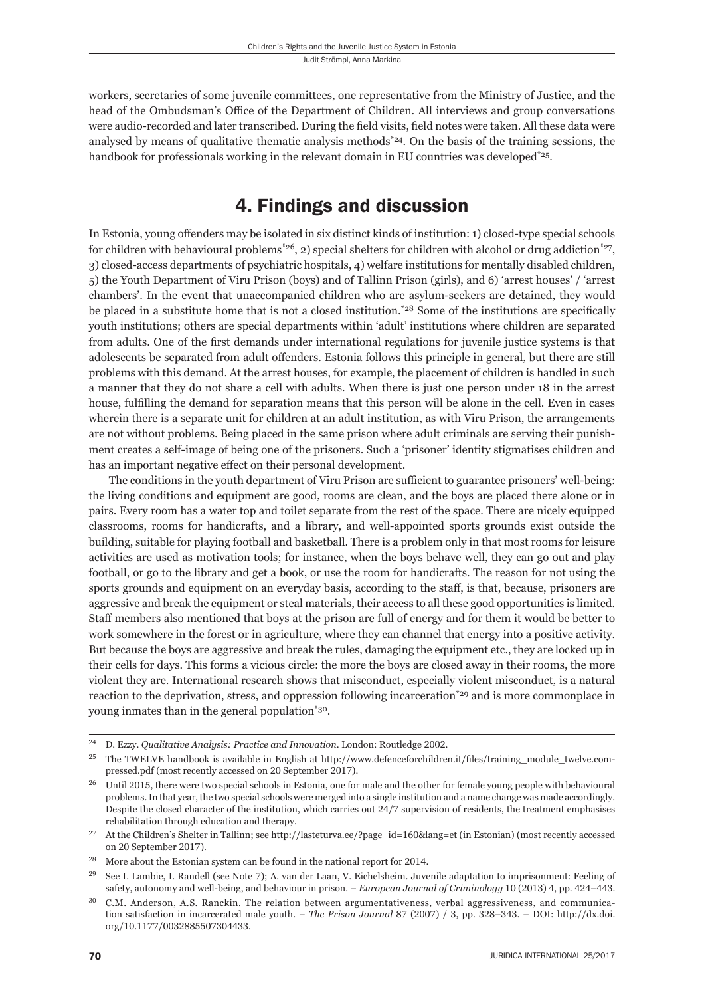workers, secretaries of some juvenile committees, one representative from the Ministry of Justice, and the head of the Ombudsman's Office of the Department of Children. All interviews and group conversations were audio-recorded and later transcribed. During the field visits, field notes were taken. All these data were analysed by means of qualitative thematic analysis methods<sup> $*24$ </sup>. On the basis of the training sessions, the handbook for professionals working in the relevant domain in EU countries was developed<sup>\*25</sup>.

## 4. Findings and discussion

In Estonia, young offenders may be isolated in six distinct kinds of institution: 1) closed-type special schools for children with behavioural problems<sup>\*26</sup>, 2) special shelters for children with alcohol or drug addiction<sup>\*27</sup>, 3) closed-access departments of psychiatric hospitals, 4) welfare institutions for mentally disabled children, 5) the Youth Department of Viru Prison (boys) and of Tallinn Prison (girls), and 6) 'arrest houses' / 'arrest chambers'. In the event that unaccompanied children who are asylum-seekers are detained, they would be placed in a substitute home that is not a closed institution.<sup>\*28</sup> Some of the institutions are specifically youth institutions; others are special departments within 'adult' institutions where children are separated from adults. One of the first demands under international regulations for juvenile justice systems is that adolescents be separated from adult offenders. Estonia follows this principle in general, but there are still problems with this demand. At the arrest houses, for example, the placement of children is handled in such a manner that they do not share a cell with adults. When there is just one person under 18 in the arrest house, fulfilling the demand for separation means that this person will be alone in the cell. Even in cases wherein there is a separate unit for children at an adult institution, as with Viru Prison, the arrangements are not without problems. Being placed in the same prison where adult criminals are serving their punishment creates a self-image of being one of the prisoners. Such a 'prisoner' identity stigmatises children and has an important negative effect on their personal development.

The conditions in the youth department of Viru Prison are sufficient to guarantee prisoners' well-being: the living conditions and equipment are good, rooms are clean, and the boys are placed there alone or in pairs. Every room has a water top and toilet separate from the rest of the space. There are nicely equipped classrooms, rooms for handicrafts, and a library, and well-appointed sports grounds exist outside the building, suitable for playing football and basketball. There is a problem only in that most rooms for leisure activities are used as motivation tools; for instance, when the boys behave well, they can go out and play football, or go to the library and get a book, or use the room for handicrafts. The reason for not using the sports grounds and equipment on an everyday basis, according to the staff, is that, because, prisoners are aggressive and break the equipment or steal materials, their access to all these good opportunities is limited. Staff members also mentioned that boys at the prison are full of energy and for them it would be better to work somewhere in the forest or in agriculture, where they can channel that energy into a positive activity. But because the boys are aggressive and break the rules, damaging the equipment etc., they are locked up in their cells for days. This forms a vicious circle: the more the boys are closed away in their rooms, the more violent they are. International research shows that misconduct, especially violent misconduct, is a natural reaction to the deprivation, stress, and oppression following incarceration\*29 and is more commonplace in young inmates than in the general population\*30.

<sup>&</sup>lt;sup>24</sup> D. Ezzy. *Qualitative Analysis: Practice and Innovation*. London: Routledge 2002.

<sup>&</sup>lt;sup>25</sup> The TWELVE handbook is available in English at http://www.defenceforchildren.it/files/training\_module\_twelve.compressed.pdf (most recently accessed on 20 September 2017).

Until 2015, there were two special schools in Estonia, one for male and the other for female young people with behavioural problems. In that year, the two special schools were merged into a single institution and a name change was made accordingly. Despite the closed character of the institution, which carries out 24/7 supervision of residents, the treatment emphasises rehabilitation through education and therapy.

At the Children's Shelter in Tallinn; see http://lasteturva.ee/?page\_id=160&lang=et (in Estonian) (most recently accessed on 20 September 2017).

 $28$  More about the Estonian system can be found in the national report for 2014.

<sup>&</sup>lt;sup>29</sup> See I. Lambie, I. Randell (see Note 7); A. van der Laan, V. Eichelsheim. Juvenile adaptation to imprisonment: Feeling of safety, autonomy and well-being, and behaviour in prison. – *European Journal of Criminology* 10 (2013) 4, pp. 424–443.

ɴɱ C.M. Anderson, A.S. Ranckin. The relation between argumentativeness, verbal aggressiveness, and communication satisfaction in incarcerated male youth. – *The Prison Journal* 87 (2007) / 3, pp. 328–343. – DOI: http://dx.doi. org/10.1177/0032885507304433.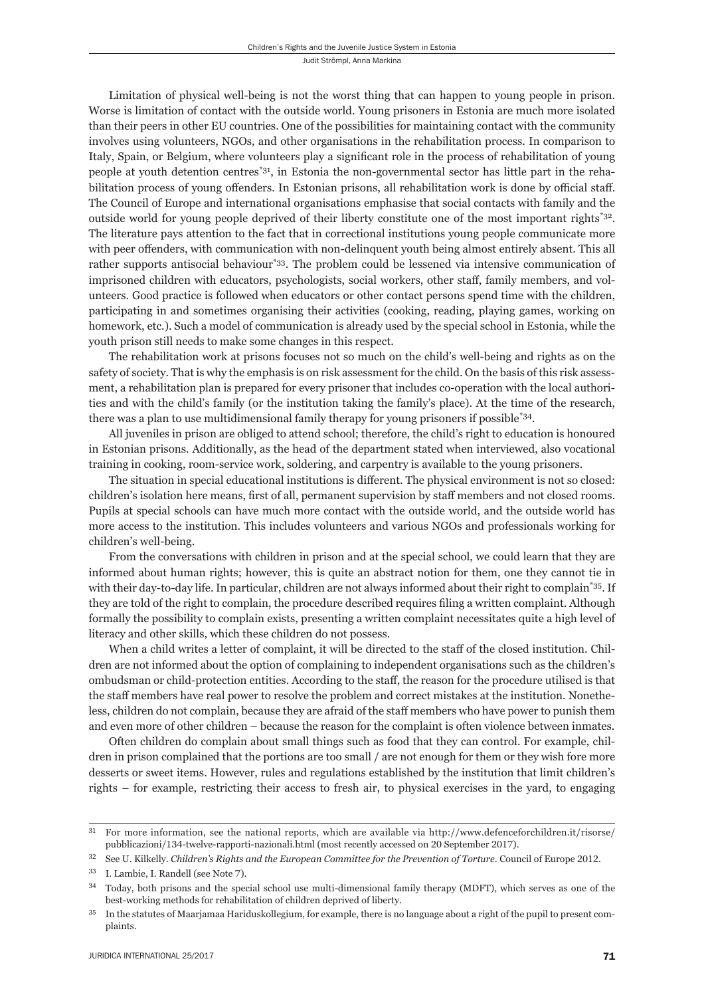Limitation of physical well-being is not the worst thing that can happen to young people in prison. Worse is limitation of contact with the outside world. Young prisoners in Estonia are much more isolated than their peers in other EU countries. One of the possibilities for maintaining contact with the community involves using volunteers, NGOs, and other organisations in the rehabilitation process. In comparison to Italy, Spain, or Belgium, where volunteers play a significant role in the process of rehabilitation of young people at youth detention centres\*31, in Estonia the non-governmental sector has little part in the rehabilitation process of young offenders. In Estonian prisons, all rehabilitation work is done by official staff. The Council of Europe and international organisations emphasise that social contacts with family and the outside world for young people deprived of their liberty constitute one of the most important rights\*32. The literature pays attention to the fact that in correctional institutions young people communicate more with peer offenders, with communication with non-delinquent youth being almost entirely absent. This all rather supports antisocial behaviour<sup>\*33</sup>. The problem could be lessened via intensive communication of imprisoned children with educators, psychologists, social workers, other staff, family members, and volunteers. Good practice is followed when educators or other contact persons spend time with the children, participating in and sometimes organising their activities (cooking, reading, playing games, working on homework, etc.). Such a model of communication is already used by the special school in Estonia, while the youth prison still needs to make some changes in this respect.

The rehabilitation work at prisons focuses not so much on the child's well-being and rights as on the safety of society. That is why the emphasis is on risk assessment for the child. On the basis of this risk assessment, a rehabilitation plan is prepared for every prisoner that includes co-operation with the local authorities and with the child's family (or the institution taking the family's place). At the time of the research, there was a plan to use multidimensional family therapy for young prisoners if possible\*34.

All juveniles in prison are obliged to attend school; therefore, the child's right to education is honoured in Estonian prisons. Additionally, as the head of the department stated when interviewed, also vocational training in cooking, room-service work, soldering, and carpentry is available to the young prisoners.

The situation in special educational institutions is different. The physical environment is not so closed: children's isolation here means, first of all, permanent supervision by staff members and not closed rooms. Pupils at special schools can have much more contact with the outside world, and the outside world has more access to the institution. This includes volunteers and various NGOs and professionals working for children's well-being.

From the conversations with children in prison and at the special school, we could learn that they are informed about human rights; however, this is quite an abstract notion for them, one they cannot tie in with their day-to-day life. In particular, children are not always informed about their right to complain<sup>\*35</sup>. If they are told of the right to complain, the procedure described requires filing a written complaint. Although formally the possibility to complain exists, presenting a written complaint necessitates quite a high level of literacy and other skills, which these children do not possess.

When a child writes a letter of complaint, it will be directed to the staff of the closed institution. Children are not informed about the option of complaining to independent organisations such as the children's ombudsman or child-protection entities. According to the staff , the reason for the procedure utilised is that the staff members have real power to resolve the problem and correct mistakes at the institution. Nonetheless, children do not complain, because they are afraid of the staff members who have power to punish them and even more of other children – because the reason for the complaint is often violence between inmates.

Often children do complain about small things such as food that they can control. For example, children in prison complained that the portions are too small / are not enough for them or they wish fore more desserts or sweet items. However, rules and regulations established by the institution that limit children's rights – for example, restricting their access to fresh air, to physical exercises in the yard, to engaging

<sup>&</sup>lt;sup>31</sup> For more information, see the national reports, which are available via http://www.defenceforchildren.it/risorse/ pubblicazioni/134-twelve-rapporti-nazionali.html (most recently accessed on 20 September 2017).

<sup>&</sup>lt;sup>32</sup> See U. Kilkelly. *Children's Rights and the European Committee for the Prevention of Torture*. Council of Europe 2012.

<sup>&</sup>lt;sup>33</sup> I. Lambie, I. Randell (see Note 7).

<sup>&</sup>lt;sup>34</sup> Today, both prisons and the special school use multi-dimensional family therapy (MDFT), which serves as one of the best-working methods for rehabilitation of children deprived of liberty.

<sup>&</sup>lt;sup>35</sup> In the statutes of Maarjamaa Hariduskollegium, for example, there is no language about a right of the pupil to present complaints.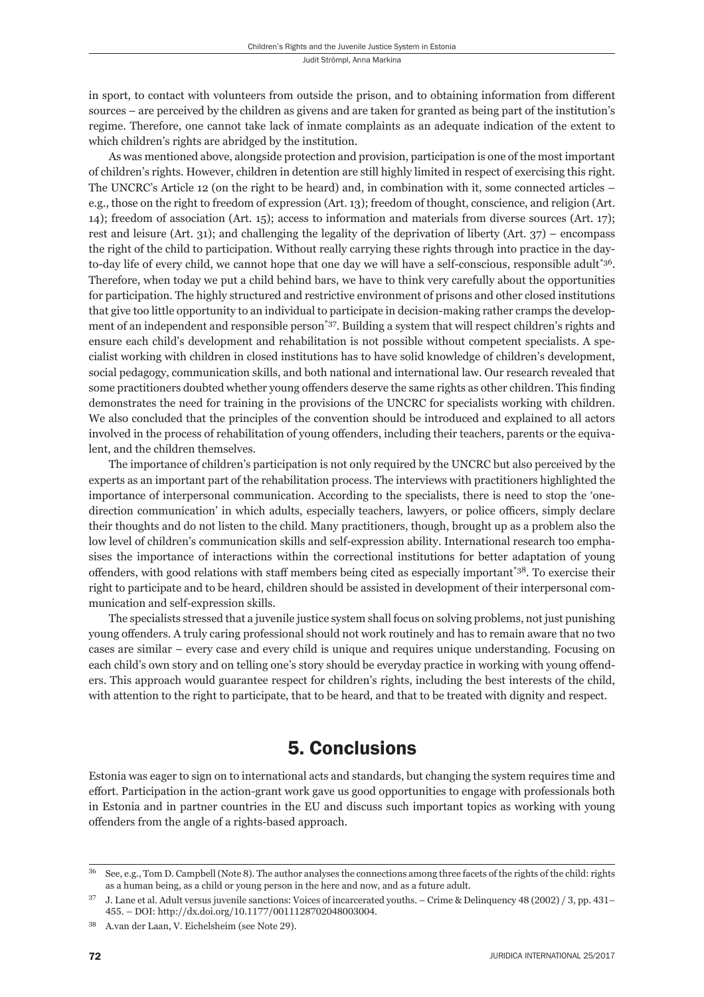in sport, to contact with volunteers from outside the prison, and to obtaining information from different sources – are perceived by the children as givens and are taken for granted as being part of the institution's regime. Therefore, one cannot take lack of inmate complaints as an adequate indication of the extent to which children's rights are abridged by the institution.

As was mentioned above, alongside protection and provision, participation is one of the most important of children's rights. However, children in detention are still highly limited in respect of exercising this right. The UNCRC's Article 12 (on the right to be heard) and, in combination with it, some connected articles – e.g., those on the right to freedom of expression (Art. 13); freedom of thought, conscience, and religion (Art. 14); freedom of association (Art. 15); access to information and materials from diverse sources (Art. 17); rest and leisure (Art. 31); and challenging the legality of the deprivation of liberty (Art. 37) – encompass the right of the child to participation. Without really carrying these rights through into practice in the dayto-day life of every child, we cannot hope that one day we will have a self-conscious, responsible adult<sup>\*36</sup>. Therefore, when today we put a child behind bars, we have to think very carefully about the opportunities for participation. The highly structured and restrictive environment of prisons and other closed institutions that give too little opportunity to an individual to participate in decision-making rather cramps the development of an independent and responsible person\*37. Building a system that will respect children's rights and ensure each child's development and rehabilitation is not possible without competent specialists. A specialist working with children in closed institutions has to have solid knowledge of children's development, social pedagogy, communication skills, and both national and international law. Our research revealed that some practitioners doubted whether young offenders deserve the same rights as other children. This finding demonstrates the need for training in the provisions of the UNCRC for specialists working with children. We also concluded that the principles of the convention should be introduced and explained to all actors involved in the process of rehabilitation of young offenders, including their teachers, parents or the equivalent, and the children themselves.

The importance of children's participation is not only required by the UNCRC but also perceived by the experts as an important part of the rehabilitation process. The interviews with practitioners highlighted the importance of interpersonal communication. According to the specialists, there is need to stop the 'onedirection communication' in which adults, especially teachers, lawyers, or police officers, simply declare their thoughts and do not listen to the child. Many practitioners, though, brought up as a problem also the low level of children's communication skills and self-expression ability. International research too emphasises the importance of interactions within the correctional institutions for better adaptation of young offenders, with good relations with staff members being cited as especially important\*38. To exercise their right to participate and to be heard, children should be assisted in development of their interpersonal communication and self-expression skills.

The specialists stressed that a juvenile justice system shall focus on solving problems, not just punishing young offenders. A truly caring professional should not work routinely and has to remain aware that no two cases are similar – every case and every child is unique and requires unique understanding. Focusing on each child's own story and on telling one's story should be everyday practice in working with young offenders. This approach would guarantee respect for children's rights, including the best interests of the child, with attention to the right to participate, that to be heard, and that to be treated with dignity and respect.

#### 5. Conclusions

Estonia was eager to sign on to international acts and standards, but changing the system requires time and effort. Participation in the action-grant work gave us good opportunities to engage with professionals both in Estonia and in partner countries in the EU and discuss such important topics as working with young offenders from the angle of a rights-based approach.

<sup>&</sup>lt;sup>36</sup> See, e.g., Tom D. Campbell (Note 8). The author analyses the connections among three facets of the rights of the child: rights as a human being, as a child or young person in the here and now, and as a future adult.

 $37$  J. Lane et al. Adult versus juvenile sanctions: Voices of incarcerated youths. – Crime & Delinquency 48 (2002) / 3, pp. 431– 455. – DOI: http://dx.doi.org/10.1177/0011128702048003004.

<sup>38</sup> A.van der Laan, V. Eichelsheim (see Note 29).